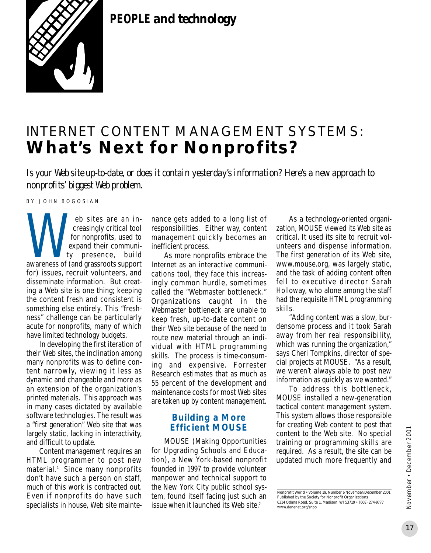

**PEOPLE** *and technology*

# INTERNET CONTENT MANAGEMENT SYSTEMS: **What's Next for Nonprofits?**

*Is your Web site up-to-date, or does it contain yesterday's information? Here's a new approach to nonprofits' biggest Web problem.*

BY JOHN BOGOSIAN

eb sites are an increasingly critical tool for nonprofits, used to expand their community presence, build eb sites are an increasingly critical tool<br>for nonprofits, used to<br>expand their communi-<br>ty presence, build<br>awareness of (and grassroots support for) issues, recruit volunteers, and disseminate information. But creating a Web site is one thing; keeping the content fresh and consistent is something else entirely. This "freshness" challenge can be particularly acute for nonprofits, many of which have limited technology budgets.

In developing the first iteration of their Web sites, the inclination among many nonprofits was to define content narrowly, viewing it less as dynamic and changeable and more as an extension of the organization's printed materials. This approach was in many cases dictated by available software technologies. The result was a "first generation" Web site that was largely static, lacking in interactivity, and difficult to update.

Content management requires an HTML programmer to post new material.<sup>1</sup> Since many nonprofits don't have such a person on staff, much of this work is contracted out. Even if nonprofits do have such specialists in house, Web site maintenance gets added to a long list of responsibilities. Either way, content management quickly becomes an inefficient process.

As more nonprofits embrace the Internet as an interactive communications tool, they face this increasingly common hurdle, sometimes called the "Webmaster bottleneck." Organizations caught in the Webmaster bottleneck are unable to keep fresh, up-to-date content on their Web site because of the need to route new material through an individual with HTML programming skills. The process is time-consuming and expensive. Forrester Research estimates that as much as 55 percent of the development and maintenance costs for most Web sites are taken up by content management.

#### **Building a More Efficient MOUSE**

MOUSE (Making Opportunities for Upgrading Schools and Education), a New York-based nonprofit founded in 1997 to provide volunteer manpower and technical support to the New York City public school system, found itself facing just such an issue when it launched its Web site.<sup>2</sup>

As a technology-oriented organization, MOUSE viewed its Web site as critical. It used its site to recruit volunteers and dispense information. The first generation of its Web site, www.mouse.org, was largely static, and the task of adding content often fell to executive director Sarah Holloway, who alone among the staff had the requisite HTML programming skills.

"Adding content was a slow, burdensome process and it took Sarah away from her real responsibility, which was running the organization," says Cheri Tompkins, director of special projects at MOUSE. "As a result, we weren't always able to post new information as quickly as we wanted."

To address this bottleneck, MOUSE installed a new-generation tactical content management system. This system allows those responsible for creating Web content to post that content to the Web site. No special training or programming skills are required. As a result, the site can be updated much more frequently and

Nonprofit World • Volume 19, Number 6 November/December 2001 Published by the Society for Nonprofit Organizations 6314 Odana Road, Suite 1, Madison, WI 53719 • (608) 274-9777 www.danenet.org/snpo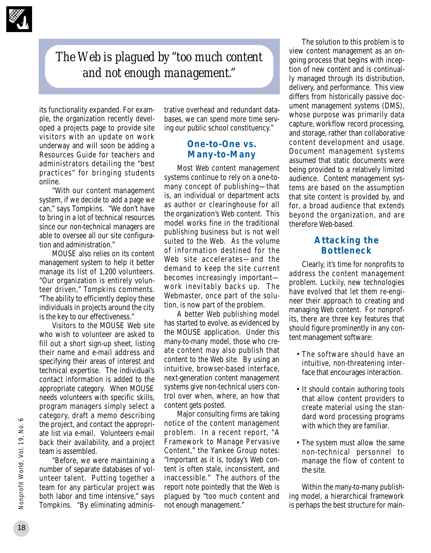

## *The Web is plagued by "too much content and not enough management."*

its functionality expanded. For example, the organization recently developed a projects page to provide site visitors with an update on work underway and will soon be adding a Resources Guide for teachers and administrators detailing the "best practices" for bringing students online.

"With our content management system, if we decide to add a page we can," says Tompkins. "We don't have to bring in a lot of technical resources since our non-technical managers are able to oversee all our site configuration and administration."

MOUSE also relies on its content management system to help it better manage its list of 1,200 volunteers. "Our organization is entirely volunteer driven," Tompkins comments. "The ability to efficiently deploy these individuals in projects around the city is the key to our effectiveness."

Visitors to the MOUSE Web site who wish to volunteer are asked to fill out a short sign-up sheet, listing their name and e-mail address and specifying their areas of interest and technical expertise. The individual's contact information is added to the appropriate category. When MOUSE needs volunteers with specific skills, program managers simply select a category, draft a memo describing the project, and contact the appropriate list via e-mail. Volunteers e-mail back their availability, and a project team is assembled.

"Before, we were maintaining a number of separate databases of volunteer talent. Putting together a team for any particular project was both labor and time intensive," says Tompkins. "By eliminating administrative overhead and redundant databases, we can spend more time serving our public school constituency."

#### **One-to-One vs. Many-to-Many**

Most Web content management systems continue to rely on a one-tomany concept of publishing—that is, an individual or department acts as author or clearinghouse for all the organization's Web content. This model works fine in the traditional publishing business but is not well suited to the Web. As the volume of information destined for the Web site accelerates—and the demand to keep the site current becomes increasingly important work inevitably backs up. The Webmaster, once part of the solution, is now part of the problem.

A better Web publishing model has started to evolve, as evidenced by the MOUSE application. Under this many-to-many model, those who create content may also publish that content to the Web site. By using an intuitive, browser-based interface, next-generation content management systems give non-technical users control over when, where, an how that content gets posted.

Major consulting firms are taking notice of the content management problem. In a recent report, "A Framework to Manage Pervasive Content," the Yankee Group notes: "Important as it is, today's Web content is often stale, inconsistent, and inaccessible." The authors of the report note pointedly that the Web is plagued by "too much content and not enough management."

The solution to this problem is to view content management as an ongoing process that begins with inception of new content and is continually managed through its distribution, delivery, and performance. This view differs from historically passive document management systems (DMS), whose purpose was primarily data capture, workflow record processing, and storage, rather than collaborative content development and usage. Document management systems assumed that static documents were being provided to a relatively limited audience. Content management systems are based on the assumption that site content is provided by, and for, a broad audience that extends beyond the organization, and are therefore Web-based.

### **Attacking the Bottleneck**

Clearly, it's time for nonprofits to address the content management problem. Luckily, new technologies have evolved that let them re-engineer their approach to creating and managing Web content. For nonprofits, there are three key features that should figure prominently in any content management software:

- The software should have an intuitive, non-threatening interface that encourages interaction.
- It should contain authoring tools that allow content providers to create material using the standard word processing programs with which they are familiar.
- The system must allow the same non-technical personnel to manage the flow of content to the site.

Within the many-to-many publishing model, a hierarchical framework is perhaps the best structure for main